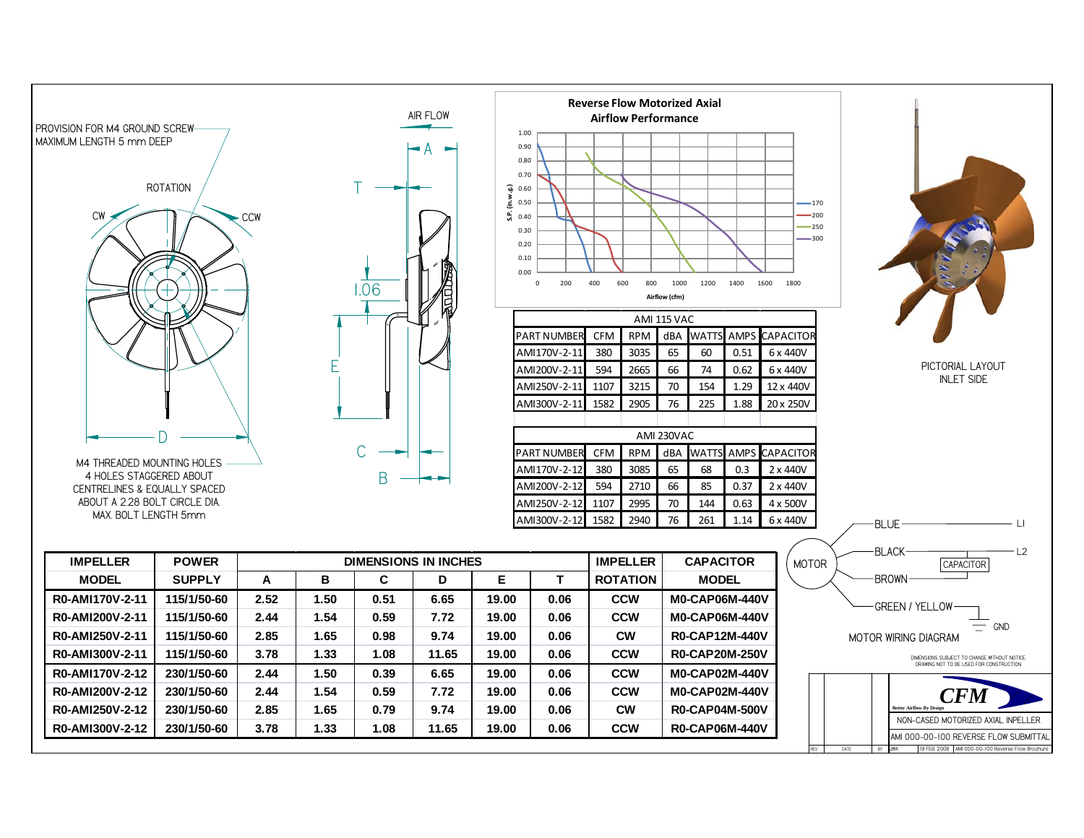